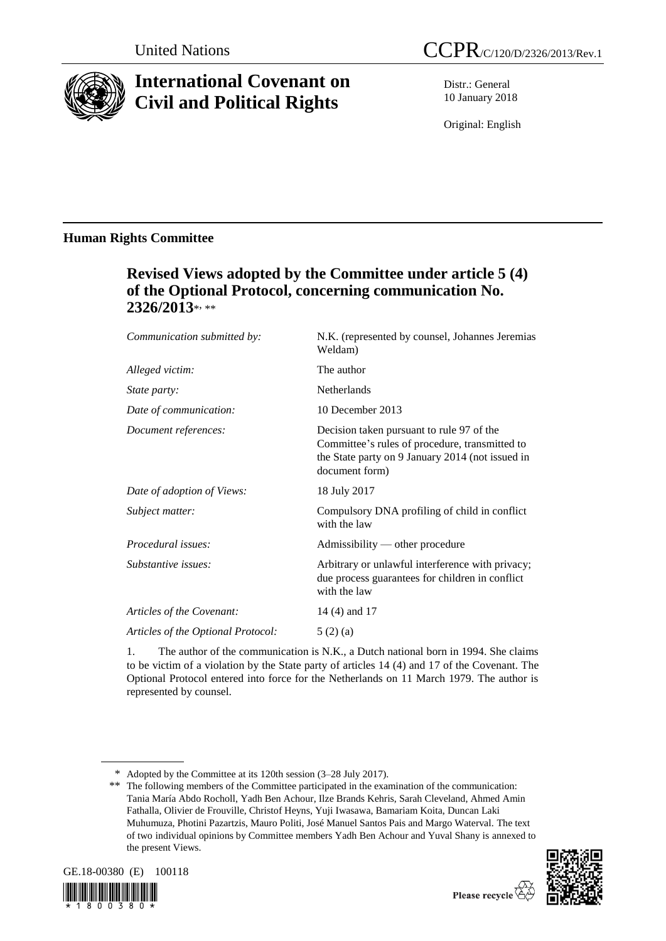

# **International Covenant on Civil and Political Rights**

Distr.: General 10 January 2018

Original: English

## **Human Rights Committee**

## **Revised Views adopted by the Committee under article 5 (4) of the Optional Protocol, concerning communication No. 2326/2013**\* , \*\*

| Communication submitted by:        | N.K. (represented by counsel, Johannes Jeremias<br>Weldam)                                                                                                        |
|------------------------------------|-------------------------------------------------------------------------------------------------------------------------------------------------------------------|
| Alleged victim:                    | The author                                                                                                                                                        |
| State party:                       | Netherlands                                                                                                                                                       |
| Date of communication:             | 10 December 2013                                                                                                                                                  |
| Document references:               | Decision taken pursuant to rule 97 of the<br>Committee's rules of procedure, transmitted to<br>the State party on 9 January 2014 (not issued in<br>document form) |
| Date of adoption of Views:         | 18 July 2017                                                                                                                                                      |
| Subject matter:                    | Compulsory DNA profiling of child in conflict<br>with the law                                                                                                     |
| Procedural issues:                 | Admissibility — other procedure                                                                                                                                   |
| Substantive issues:                | Arbitrary or unlawful interference with privacy;<br>due process guarantees for children in conflict<br>with the law                                               |
| Articles of the Covenant:          | 14 (4) and 17                                                                                                                                                     |
| Articles of the Optional Protocol: | 5(2)(a)                                                                                                                                                           |
|                                    |                                                                                                                                                                   |

1. The author of the communication is N.K., a Dutch national born in 1994. She claims to be victim of a violation by the State party of articles 14 (4) and 17 of the Covenant. The Optional Protocol entered into force for the Netherlands on 11 March 1979. The author is represented by counsel.

<sup>\*\*</sup> The following members of the Committee participated in the examination of the communication: Tania María Abdo Rocholl, Yadh Ben Achour, Ilze Brands Kehris, Sarah Cleveland, Ahmed Amin Fathalla, Olivier de Frouville, Christof Heyns, Yuji Iwasawa, Bamariam Koita, Duncan Laki Muhumuza, Photini Pazartzis, Mauro Politi, José Manuel Santos Pais and Margo Waterval. The text of two individual opinions by Committee members Yadh Ben Achour and Yuval Shany is annexed to the present Views.



800380



<sup>\*</sup> Adopted by the Committee at its 120th session (3–28 July 2017).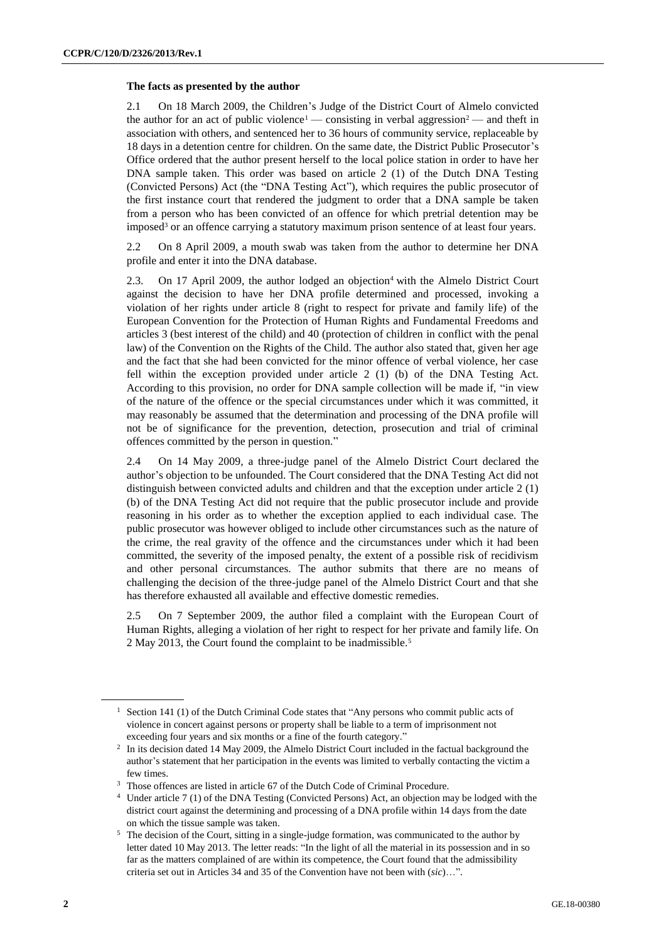### **The facts as presented by the author**

2.1 On 18 March 2009, the Children's Judge of the District Court of Almelo convicted the author for an act of public violence<sup>1</sup> — consisting in verbal aggression<sup>2</sup> — and theft in association with others, and sentenced her to 36 hours of community service, replaceable by 18 days in a detention centre for children. On the same date, the District Public Prosecutor's Office ordered that the author present herself to the local police station in order to have her DNA sample taken. This order was based on article 2 (1) of the Dutch DNA Testing (Convicted Persons) Act (the "DNA Testing Act"), which requires the public prosecutor of the first instance court that rendered the judgment to order that a DNA sample be taken from a person who has been convicted of an offence for which pretrial detention may be imposed<sup>3</sup> or an offence carrying a statutory maximum prison sentence of at least four years.

2.2 On 8 April 2009, a mouth swab was taken from the author to determine her DNA profile and enter it into the DNA database.

2.3. On 17 April 2009, the author lodged an objection<sup>4</sup> with the Almelo District Court against the decision to have her DNA profile determined and processed, invoking a violation of her rights under article 8 (right to respect for private and family life) of the European Convention for the Protection of Human Rights and Fundamental Freedoms and articles 3 (best interest of the child) and 40 (protection of children in conflict with the penal law) of the Convention on the Rights of the Child. The author also stated that, given her age and the fact that she had been convicted for the minor offence of verbal violence, her case fell within the exception provided under article 2 (1) (b) of the DNA Testing Act. According to this provision, no order for DNA sample collection will be made if, "in view of the nature of the offence or the special circumstances under which it was committed, it may reasonably be assumed that the determination and processing of the DNA profile will not be of significance for the prevention, detection, prosecution and trial of criminal offences committed by the person in question."

2.4 On 14 May 2009, a three-judge panel of the Almelo District Court declared the author's objection to be unfounded. The Court considered that the DNA Testing Act did not distinguish between convicted adults and children and that the exception under article 2 (1) (b) of the DNA Testing Act did not require that the public prosecutor include and provide reasoning in his order as to whether the exception applied to each individual case. The public prosecutor was however obliged to include other circumstances such as the nature of the crime, the real gravity of the offence and the circumstances under which it had been committed, the severity of the imposed penalty, the extent of a possible risk of recidivism and other personal circumstances. The author submits that there are no means of challenging the decision of the three-judge panel of the Almelo District Court and that she has therefore exhausted all available and effective domestic remedies.

2.5 On 7 September 2009, the author filed a complaint with the European Court of Human Rights, alleging a violation of her right to respect for her private and family life. On 2 May 2013, the Court found the complaint to be inadmissible.<sup>5</sup>

<sup>&</sup>lt;sup>1</sup> Section 141 (1) of the Dutch Criminal Code states that "Any persons who commit public acts of violence in concert against persons or property shall be liable to a term of imprisonment not exceeding four years and six months or a fine of the fourth category."

<sup>&</sup>lt;sup>2</sup> In its decision dated 14 May 2009, the Almelo District Court included in the factual background the author's statement that her participation in the events was limited to verbally contacting the victim a few times.

<sup>&</sup>lt;sup>3</sup> Those offences are listed in article 67 of the Dutch Code of Criminal Procedure.

<sup>4</sup> Under article 7 (1) of the DNA Testing (Convicted Persons) Act, an objection may be lodged with the district court against the determining and processing of a DNA profile within 14 days from the date on which the tissue sample was taken.

<sup>&</sup>lt;sup>5</sup> The decision of the Court, sitting in a single-judge formation, was communicated to the author by letter dated 10 May 2013. The letter reads: "In the light of all the material in its possession and in so far as the matters complained of are within its competence, the Court found that the admissibility criteria set out in Articles 34 and 35 of the Convention have not been with (*sic*)…".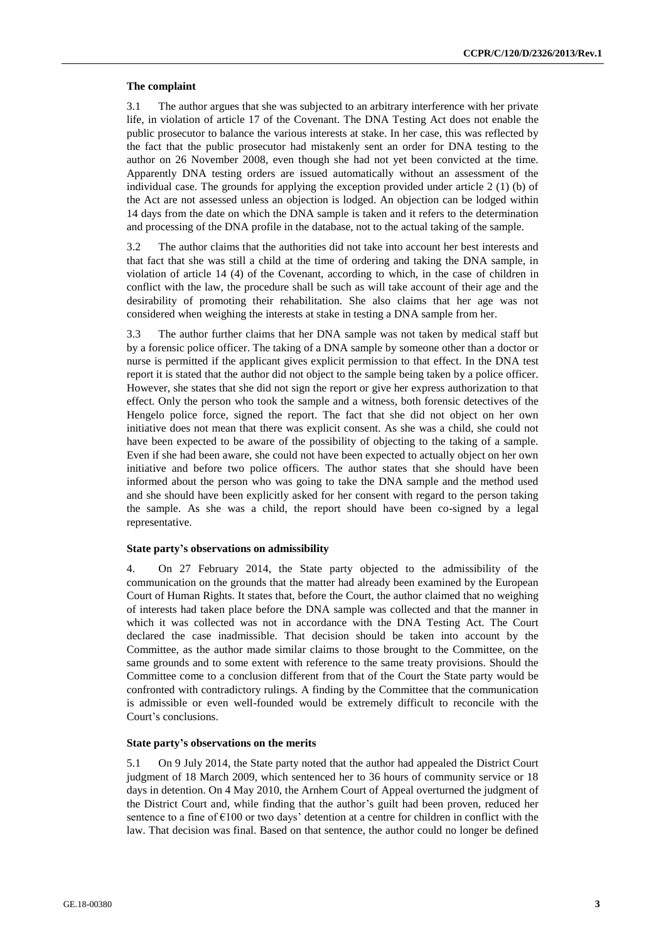### **The complaint**

3.1 The author argues that she was subjected to an arbitrary interference with her private life, in violation of article 17 of the Covenant. The DNA Testing Act does not enable the public prosecutor to balance the various interests at stake. In her case, this was reflected by the fact that the public prosecutor had mistakenly sent an order for DNA testing to the author on 26 November 2008, even though she had not yet been convicted at the time. Apparently DNA testing orders are issued automatically without an assessment of the individual case. The grounds for applying the exception provided under article 2 (1) (b) of the Act are not assessed unless an objection is lodged. An objection can be lodged within 14 days from the date on which the DNA sample is taken and it refers to the determination and processing of the DNA profile in the database, not to the actual taking of the sample.

3.2 The author claims that the authorities did not take into account her best interests and that fact that she was still a child at the time of ordering and taking the DNA sample, in violation of article 14 (4) of the Covenant, according to which, in the case of children in conflict with the law, the procedure shall be such as will take account of their age and the desirability of promoting their rehabilitation. She also claims that her age was not considered when weighing the interests at stake in testing a DNA sample from her.

3.3 The author further claims that her DNA sample was not taken by medical staff but by a forensic police officer. The taking of a DNA sample by someone other than a doctor or nurse is permitted if the applicant gives explicit permission to that effect. In the DNA test report it is stated that the author did not object to the sample being taken by a police officer. However, she states that she did not sign the report or give her express authorization to that effect. Only the person who took the sample and a witness, both forensic detectives of the Hengelo police force, signed the report. The fact that she did not object on her own initiative does not mean that there was explicit consent. As she was a child, she could not have been expected to be aware of the possibility of objecting to the taking of a sample. Even if she had been aware, she could not have been expected to actually object on her own initiative and before two police officers. The author states that she should have been informed about the person who was going to take the DNA sample and the method used and she should have been explicitly asked for her consent with regard to the person taking the sample. As she was a child, the report should have been co-signed by a legal representative.

#### **State party's observations on admissibility**

4. On 27 February 2014, the State party objected to the admissibility of the communication on the grounds that the matter had already been examined by the European Court of Human Rights. It states that, before the Court, the author claimed that no weighing of interests had taken place before the DNA sample was collected and that the manner in which it was collected was not in accordance with the DNA Testing Act. The Court declared the case inadmissible. That decision should be taken into account by the Committee, as the author made similar claims to those brought to the Committee, on the same grounds and to some extent with reference to the same treaty provisions. Should the Committee come to a conclusion different from that of the Court the State party would be confronted with contradictory rulings. A finding by the Committee that the communication is admissible or even well-founded would be extremely difficult to reconcile with the Court's conclusions.

#### **State party's observations on the merits**

5.1 On 9 July 2014, the State party noted that the author had appealed the District Court judgment of 18 March 2009, which sentenced her to 36 hours of community service or 18 days in detention. On 4 May 2010, the Arnhem Court of Appeal overturned the judgment of the District Court and, while finding that the author's guilt had been proven, reduced her sentence to a fine of  $E100$  or two days' detention at a centre for children in conflict with the law. That decision was final. Based on that sentence, the author could no longer be defined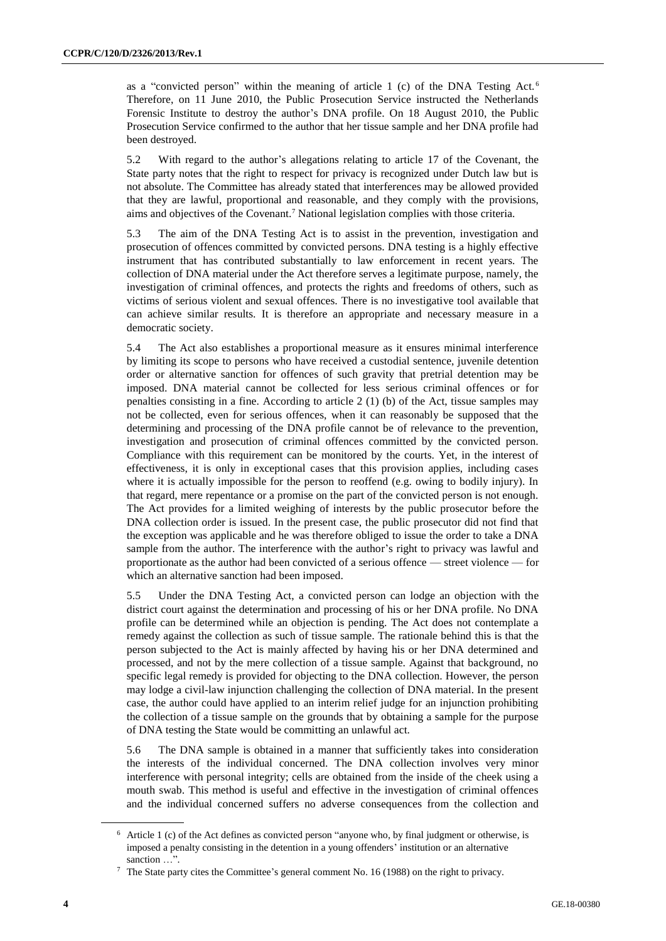as a "convicted person" within the meaning of article 1 (c) of the DNA Testing Act.<sup>6</sup> Therefore, on 11 June 2010, the Public Prosecution Service instructed the Netherlands Forensic Institute to destroy the author's DNA profile. On 18 August 2010, the Public Prosecution Service confirmed to the author that her tissue sample and her DNA profile had been destroyed.

5.2 With regard to the author's allegations relating to article 17 of the Covenant, the State party notes that the right to respect for privacy is recognized under Dutch law but is not absolute. The Committee has already stated that interferences may be allowed provided that they are lawful, proportional and reasonable, and they comply with the provisions, aims and objectives of the Covenant.<sup>7</sup> National legislation complies with those criteria.

5.3 The aim of the DNA Testing Act is to assist in the prevention, investigation and prosecution of offences committed by convicted persons. DNA testing is a highly effective instrument that has contributed substantially to law enforcement in recent years. The collection of DNA material under the Act therefore serves a legitimate purpose, namely, the investigation of criminal offences, and protects the rights and freedoms of others, such as victims of serious violent and sexual offences. There is no investigative tool available that can achieve similar results. It is therefore an appropriate and necessary measure in a democratic society.

5.4 The Act also establishes a proportional measure as it ensures minimal interference by limiting its scope to persons who have received a custodial sentence, juvenile detention order or alternative sanction for offences of such gravity that pretrial detention may be imposed. DNA material cannot be collected for less serious criminal offences or for penalties consisting in a fine. According to article  $2(1)$  (b) of the Act, tissue samples may not be collected, even for serious offences, when it can reasonably be supposed that the determining and processing of the DNA profile cannot be of relevance to the prevention, investigation and prosecution of criminal offences committed by the convicted person. Compliance with this requirement can be monitored by the courts. Yet, in the interest of effectiveness, it is only in exceptional cases that this provision applies, including cases where it is actually impossible for the person to reoffend (e.g. owing to bodily injury). In that regard, mere repentance or a promise on the part of the convicted person is not enough. The Act provides for a limited weighing of interests by the public prosecutor before the DNA collection order is issued. In the present case, the public prosecutor did not find that the exception was applicable and he was therefore obliged to issue the order to take a DNA sample from the author. The interference with the author's right to privacy was lawful and proportionate as the author had been convicted of a serious offence — street violence — for which an alternative sanction had been imposed.

5.5 Under the DNA Testing Act, a convicted person can lodge an objection with the district court against the determination and processing of his or her DNA profile. No DNA profile can be determined while an objection is pending. The Act does not contemplate a remedy against the collection as such of tissue sample. The rationale behind this is that the person subjected to the Act is mainly affected by having his or her DNA determined and processed, and not by the mere collection of a tissue sample. Against that background, no specific legal remedy is provided for objecting to the DNA collection. However, the person may lodge a civil-law injunction challenging the collection of DNA material. In the present case, the author could have applied to an interim relief judge for an injunction prohibiting the collection of a tissue sample on the grounds that by obtaining a sample for the purpose of DNA testing the State would be committing an unlawful act.

5.6 The DNA sample is obtained in a manner that sufficiently takes into consideration the interests of the individual concerned. The DNA collection involves very minor interference with personal integrity; cells are obtained from the inside of the cheek using a mouth swab. This method is useful and effective in the investigation of criminal offences and the individual concerned suffers no adverse consequences from the collection and

<sup>6</sup> Article 1 (c) of the Act defines as convicted person "anyone who, by final judgment or otherwise, is imposed a penalty consisting in the detention in a young offenders' institution or an alternative sanction …".

 $7$  The State party cites the Committee's general comment No. 16 (1988) on the right to privacy.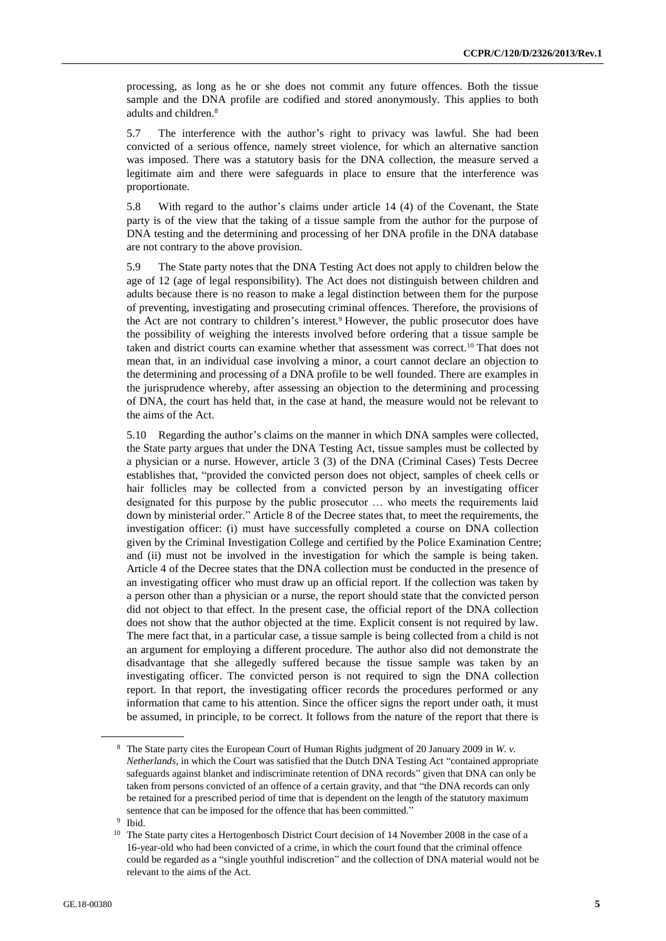processing, as long as he or she does not commit any future offences. Both the tissue sample and the DNA profile are codified and stored anonymously. This applies to both adults and children.<sup>8</sup>

5.7 The interference with the author's right to privacy was lawful. She had been convicted of a serious offence, namely street violence, for which an alternative sanction was imposed. There was a statutory basis for the DNA collection, the measure served a legitimate aim and there were safeguards in place to ensure that the interference was proportionate.

5.8 With regard to the author's claims under article 14 (4) of the Covenant, the State party is of the view that the taking of a tissue sample from the author for the purpose of DNA testing and the determining and processing of her DNA profile in the DNA database are not contrary to the above provision.

5.9 The State party notes that the DNA Testing Act does not apply to children below the age of 12 (age of legal responsibility). The Act does not distinguish between children and adults because there is no reason to make a legal distinction between them for the purpose of preventing, investigating and prosecuting criminal offences. Therefore, the provisions of the Act are not contrary to children's interest.<sup>9</sup> However, the public prosecutor does have the possibility of weighing the interests involved before ordering that a tissue sample be taken and district courts can examine whether that assessment was correct.<sup>10</sup> That does not mean that, in an individual case involving a minor, a court cannot declare an objection to the determining and processing of a DNA profile to be well founded. There are examples in the jurisprudence whereby, after assessing an objection to the determining and processing of DNA, the court has held that, in the case at hand, the measure would not be relevant to the aims of the Act.

5.10 Regarding the author's claims on the manner in which DNA samples were collected, the State party argues that under the DNA Testing Act, tissue samples must be collected by a physician or a nurse. However, article 3 (3) of the DNA (Criminal Cases) Tests Decree establishes that, "provided the convicted person does not object, samples of cheek cells or hair follicles may be collected from a convicted person by an investigating officer designated for this purpose by the public prosecutor … who meets the requirements laid down by ministerial order." Article 8 of the Decree states that, to meet the requirements, the investigation officer: (i) must have successfully completed a course on DNA collection given by the Criminal Investigation College and certified by the Police Examination Centre; and (ii) must not be involved in the investigation for which the sample is being taken. Article 4 of the Decree states that the DNA collection must be conducted in the presence of an investigating officer who must draw up an official report. If the collection was taken by a person other than a physician or a nurse, the report should state that the convicted person did not object to that effect. In the present case, the official report of the DNA collection does not show that the author objected at the time. Explicit consent is not required by law. The mere fact that, in a particular case, a tissue sample is being collected from a child is not an argument for employing a different procedure. The author also did not demonstrate the disadvantage that she allegedly suffered because the tissue sample was taken by an investigating officer. The convicted person is not required to sign the DNA collection report. In that report, the investigating officer records the procedures performed or any information that came to his attention. Since the officer signs the report under oath, it must be assumed, in principle, to be correct. It follows from the nature of the report that there is

<sup>8</sup> The State party cites the European Court of Human Rights judgment of 20 January 2009 in *W. v. Netherlands*, in which the Court was satisfied that the Dutch DNA Testing Act "contained appropriate safeguards against blanket and indiscriminate retention of DNA records" given that DNA can only be taken from persons convicted of an offence of a certain gravity, and that "the DNA records can only be retained for a prescribed period of time that is dependent on the length of the statutory maximum sentence that can be imposed for the offence that has been committed."

<sup>9</sup> Ibid.

<sup>&</sup>lt;sup>10</sup> The State party cites a Hertogenbosch District Court decision of 14 November 2008 in the case of a 16-year-old who had been convicted of a crime, in which the court found that the criminal offence could be regarded as a "single youthful indiscretion" and the collection of DNA material would not be relevant to the aims of the Act.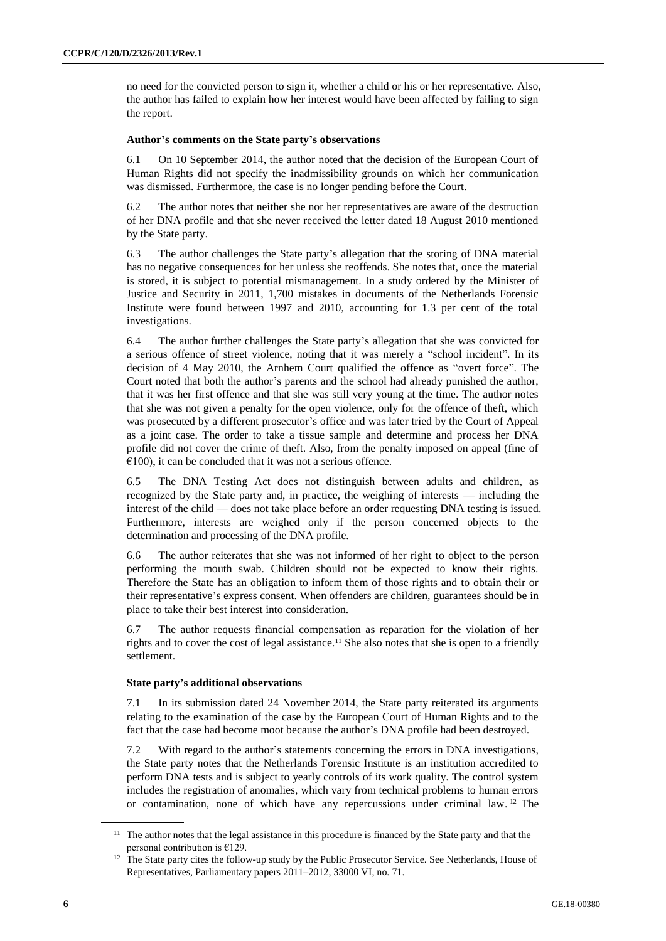no need for the convicted person to sign it, whether a child or his or her representative. Also, the author has failed to explain how her interest would have been affected by failing to sign the report.

### **Author's comments on the State party's observations**

6.1 On 10 September 2014, the author noted that the decision of the European Court of Human Rights did not specify the inadmissibility grounds on which her communication was dismissed. Furthermore, the case is no longer pending before the Court.

6.2 The author notes that neither she nor her representatives are aware of the destruction of her DNA profile and that she never received the letter dated 18 August 2010 mentioned by the State party.

6.3 The author challenges the State party's allegation that the storing of DNA material has no negative consequences for her unless she reoffends. She notes that, once the material is stored, it is subject to potential mismanagement. In a study ordered by the Minister of Justice and Security in 2011, 1,700 mistakes in documents of the Netherlands Forensic Institute were found between 1997 and 2010, accounting for 1.3 per cent of the total investigations.

6.4 The author further challenges the State party's allegation that she was convicted for a serious offence of street violence, noting that it was merely a "school incident". In its decision of 4 May 2010, the Arnhem Court qualified the offence as "overt force". The Court noted that both the author's parents and the school had already punished the author, that it was her first offence and that she was still very young at the time. The author notes that she was not given a penalty for the open violence, only for the offence of theft, which was prosecuted by a different prosecutor's office and was later tried by the Court of Appeal as a joint case. The order to take a tissue sample and determine and process her DNA profile did not cover the crime of theft. Also, from the penalty imposed on appeal (fine of  $\epsilon$ 100), it can be concluded that it was not a serious offence.

6.5 The DNA Testing Act does not distinguish between adults and children, as recognized by the State party and, in practice, the weighing of interests — including the interest of the child — does not take place before an order requesting DNA testing is issued. Furthermore, interests are weighed only if the person concerned objects to the determination and processing of the DNA profile.

6.6 The author reiterates that she was not informed of her right to object to the person performing the mouth swab. Children should not be expected to know their rights. Therefore the State has an obligation to inform them of those rights and to obtain their or their representative's express consent. When offenders are children, guarantees should be in place to take their best interest into consideration.

6.7 The author requests financial compensation as reparation for the violation of her rights and to cover the cost of legal assistance.<sup>11</sup> She also notes that she is open to a friendly settlement.

### **State party's additional observations**

7.1 In its submission dated 24 November 2014, the State party reiterated its arguments relating to the examination of the case by the European Court of Human Rights and to the fact that the case had become moot because the author's DNA profile had been destroyed.

7.2 With regard to the author's statements concerning the errors in DNA investigations, the State party notes that the Netherlands Forensic Institute is an institution accredited to perform DNA tests and is subject to yearly controls of its work quality. The control system includes the registration of anomalies, which vary from technical problems to human errors or contamination, none of which have any repercussions under criminal law. <sup>12</sup> The

<sup>&</sup>lt;sup>11</sup> The author notes that the legal assistance in this procedure is financed by the State party and that the personal contribution is €129.

<sup>&</sup>lt;sup>12</sup> The State party cites the follow-up study by the Public Prosecutor Service. See Netherlands, House of Representatives, Parliamentary papers 2011–2012, 33000 VI, no. 71.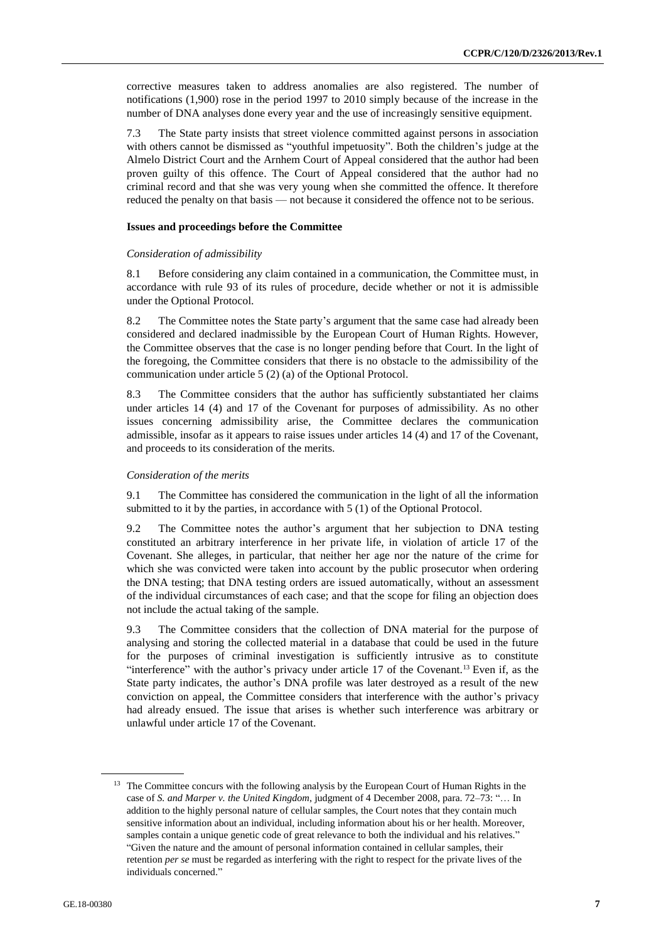corrective measures taken to address anomalies are also registered. The number of notifications (1,900) rose in the period 1997 to 2010 simply because of the increase in the number of DNA analyses done every year and the use of increasingly sensitive equipment.

7.3 The State party insists that street violence committed against persons in association with others cannot be dismissed as "youthful impetuosity". Both the children's judge at the Almelo District Court and the Arnhem Court of Appeal considered that the author had been proven guilty of this offence. The Court of Appeal considered that the author had no criminal record and that she was very young when she committed the offence. It therefore reduced the penalty on that basis — not because it considered the offence not to be serious.

### **Issues and proceedings before the Committee**

#### *Consideration of admissibility*

8.1 Before considering any claim contained in a communication, the Committee must, in accordance with rule 93 of its rules of procedure, decide whether or not it is admissible under the Optional Protocol.

8.2 The Committee notes the State party's argument that the same case had already been considered and declared inadmissible by the European Court of Human Rights. However, the Committee observes that the case is no longer pending before that Court. In the light of the foregoing, the Committee considers that there is no obstacle to the admissibility of the communication under article 5 (2) (a) of the Optional Protocol.

8.3 The Committee considers that the author has sufficiently substantiated her claims under articles 14 (4) and 17 of the Covenant for purposes of admissibility. As no other issues concerning admissibility arise, the Committee declares the communication admissible, insofar as it appears to raise issues under articles 14 (4) and 17 of the Covenant, and proceeds to its consideration of the merits.

#### *Consideration of the merits*

9.1 The Committee has considered the communication in the light of all the information submitted to it by the parties, in accordance with 5 (1) of the Optional Protocol.

9.2 The Committee notes the author's argument that her subjection to DNA testing constituted an arbitrary interference in her private life, in violation of article 17 of the Covenant. She alleges, in particular, that neither her age nor the nature of the crime for which she was convicted were taken into account by the public prosecutor when ordering the DNA testing; that DNA testing orders are issued automatically, without an assessment of the individual circumstances of each case; and that the scope for filing an objection does not include the actual taking of the sample.

9.3 The Committee considers that the collection of DNA material for the purpose of analysing and storing the collected material in a database that could be used in the future for the purposes of criminal investigation is sufficiently intrusive as to constitute "interference" with the author's privacy under article 17 of the Covenant.<sup>13</sup> Even if, as the State party indicates, the author's DNA profile was later destroyed as a result of the new conviction on appeal, the Committee considers that interference with the author's privacy had already ensued. The issue that arises is whether such interference was arbitrary or unlawful under article 17 of the Covenant.

<sup>&</sup>lt;sup>13</sup> The Committee concurs with the following analysis by the European Court of Human Rights in the case of *S. and Marper v. the United Kingdom*, judgment of 4 December 2008, para. 72–73: "… In addition to the highly personal nature of cellular samples, the Court notes that they contain much sensitive information about an individual, including information about his or her health. Moreover, samples contain a unique genetic code of great relevance to both the individual and his relatives." "Given the nature and the amount of personal information contained in cellular samples, their retention *per se* must be regarded as interfering with the right to respect for the private lives of the individuals concerned."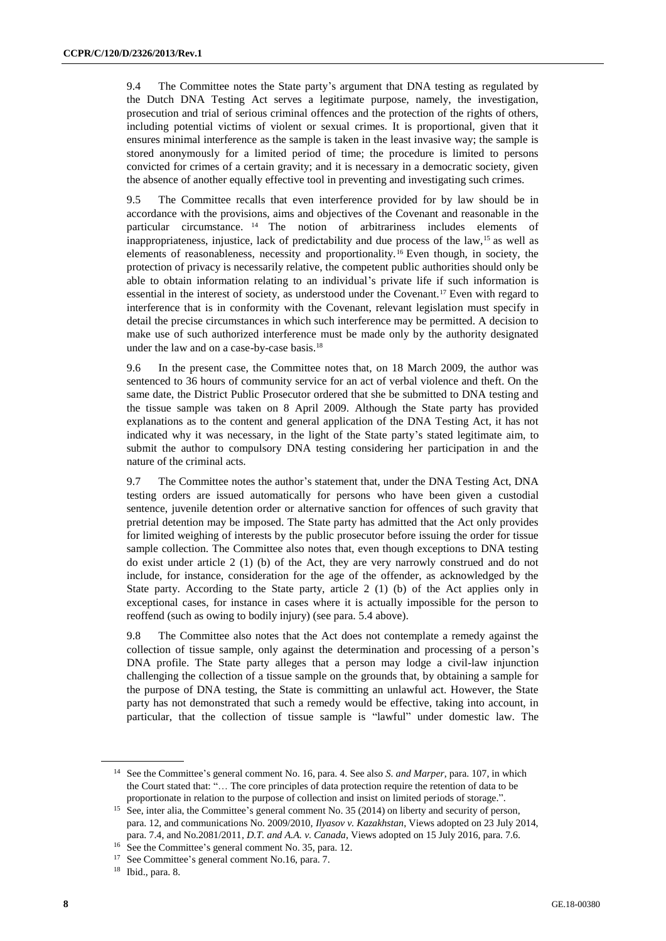9.4 The Committee notes the State party's argument that DNA testing as regulated by the Dutch DNA Testing Act serves a legitimate purpose, namely, the investigation, prosecution and trial of serious criminal offences and the protection of the rights of others, including potential victims of violent or sexual crimes. It is proportional, given that it ensures minimal interference as the sample is taken in the least invasive way; the sample is stored anonymously for a limited period of time; the procedure is limited to persons convicted for crimes of a certain gravity; and it is necessary in a democratic society, given the absence of another equally effective tool in preventing and investigating such crimes.

9.5 The Committee recalls that even interference provided for by law should be in accordance with the provisions, aims and objectives of the Covenant and reasonable in the particular circumstance. <sup>14</sup> The notion of arbitrariness includes elements of inappropriateness, injustice, lack of predictability and due process of the law,<sup>15</sup> as well as elements of reasonableness, necessity and proportionality.<sup>16</sup> Even though, in society, the protection of privacy is necessarily relative, the competent public authorities should only be able to obtain information relating to an individual's private life if such information is essential in the interest of society, as understood under the Covenant.<sup>17</sup> Even with regard to interference that is in conformity with the Covenant, relevant legislation must specify in detail the precise circumstances in which such interference may be permitted. A decision to make use of such authorized interference must be made only by the authority designated under the law and on a case-by-case basis.<sup>18</sup>

9.6 In the present case, the Committee notes that, on 18 March 2009, the author was sentenced to 36 hours of community service for an act of verbal violence and theft. On the same date, the District Public Prosecutor ordered that she be submitted to DNA testing and the tissue sample was taken on 8 April 2009. Although the State party has provided explanations as to the content and general application of the DNA Testing Act, it has not indicated why it was necessary, in the light of the State party's stated legitimate aim, to submit the author to compulsory DNA testing considering her participation in and the nature of the criminal acts.

9.7 The Committee notes the author's statement that, under the DNA Testing Act, DNA testing orders are issued automatically for persons who have been given a custodial sentence, juvenile detention order or alternative sanction for offences of such gravity that pretrial detention may be imposed. The State party has admitted that the Act only provides for limited weighing of interests by the public prosecutor before issuing the order for tissue sample collection. The Committee also notes that, even though exceptions to DNA testing do exist under article 2 (1) (b) of the Act, they are very narrowly construed and do not include, for instance, consideration for the age of the offender, as acknowledged by the State party. According to the State party, article  $2(1)$  (b) of the Act applies only in exceptional cases, for instance in cases where it is actually impossible for the person to reoffend (such as owing to bodily injury) (see para. 5.4 above).

9.8 The Committee also notes that the Act does not contemplate a remedy against the collection of tissue sample, only against the determination and processing of a person's DNA profile. The State party alleges that a person may lodge a civil-law injunction challenging the collection of a tissue sample on the grounds that, by obtaining a sample for the purpose of DNA testing, the State is committing an unlawful act. However, the State party has not demonstrated that such a remedy would be effective, taking into account, in particular, that the collection of tissue sample is "lawful" under domestic law. The

<sup>14</sup> See the Committee's general comment No. 16, para. 4. See also *S. and Marper*, para. 107, in which the Court stated that: "… The core principles of data protection require the retention of data to be proportionate in relation to the purpose of collection and insist on limited periods of storage.".

<sup>&</sup>lt;sup>15</sup> See, inter alia, the Committee's general comment No. 35 (2014) on liberty and security of person, para. 12, and communications No. 2009/2010, *Ilyasov v. Kazakhstan*, Views adopted on 23 July 2014, para. 7.4, and No.2081/2011*, D.T. and A.A. v. Canada*, Views adopted on 15 July 2016, para. 7.6.

<sup>16</sup> See the Committee's general comment No. 35, para. 12.

<sup>17</sup> See Committee's general comment No.16, para. 7.

<sup>18</sup> Ibid., para. 8.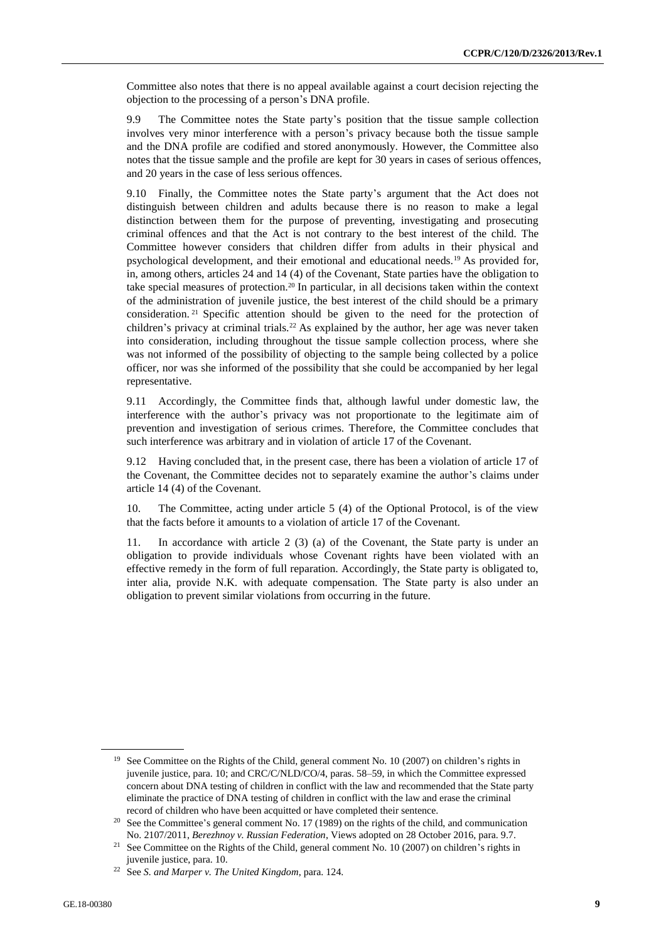Committee also notes that there is no appeal available against a court decision rejecting the objection to the processing of a person's DNA profile.

9.9 The Committee notes the State party's position that the tissue sample collection involves very minor interference with a person's privacy because both the tissue sample and the DNA profile are codified and stored anonymously. However, the Committee also notes that the tissue sample and the profile are kept for 30 years in cases of serious offences, and 20 years in the case of less serious offences.

9.10 Finally, the Committee notes the State party's argument that the Act does not distinguish between children and adults because there is no reason to make a legal distinction between them for the purpose of preventing, investigating and prosecuting criminal offences and that the Act is not contrary to the best interest of the child. The Committee however considers that children differ from adults in their physical and psychological development, and their emotional and educational needs.<sup>19</sup> As provided for, in, among others, articles 24 and 14 (4) of the Covenant, State parties have the obligation to take special measures of protection.<sup>20</sup> In particular, in all decisions taken within the context of the administration of juvenile justice, the best interest of the child should be a primary consideration. <sup>21</sup> Specific attention should be given to the need for the protection of children's privacy at criminal trials.<sup>22</sup> As explained by the author, her age was never taken into consideration, including throughout the tissue sample collection process, where she was not informed of the possibility of objecting to the sample being collected by a police officer, nor was she informed of the possibility that she could be accompanied by her legal representative.

9.11 Accordingly, the Committee finds that, although lawful under domestic law, the interference with the author's privacy was not proportionate to the legitimate aim of prevention and investigation of serious crimes. Therefore, the Committee concludes that such interference was arbitrary and in violation of article 17 of the Covenant.

9.12 Having concluded that, in the present case, there has been a violation of article 17 of the Covenant, the Committee decides not to separately examine the author's claims under article 14 (4) of the Covenant.

10. The Committee, acting under article 5 (4) of the Optional Protocol, is of the view that the facts before it amounts to a violation of article 17 of the Covenant.

11. In accordance with article 2 (3) (a) of the Covenant, the State party is under an obligation to provide individuals whose Covenant rights have been violated with an effective remedy in the form of full reparation. Accordingly, the State party is obligated to, inter alia, provide N.K. with adequate compensation. The State party is also under an obligation to prevent similar violations from occurring in the future.

<sup>&</sup>lt;sup>19</sup> See Committee on the Rights of the Child, general comment No. 10 (2007) on children's rights in juvenile justice, para. 10; and CRC/C/NLD/CO/4, paras. 58–59, in which the Committee expressed concern about DNA testing of children in conflict with the law and recommended that the State party eliminate the practice of DNA testing of children in conflict with the law and erase the criminal record of children who have been acquitted or have completed their sentence.

<sup>&</sup>lt;sup>20</sup> See the Committee's general comment No. 17 (1989) on the rights of the child, and communication No. 2107/2011, *Berezhnoy v. Russian Federation*, Views adopted on 28 October 2016, para. 9.7.

<sup>&</sup>lt;sup>21</sup> See Committee on the Rights of the Child, general comment No. 10 (2007) on children's rights in juvenile justice, para. 10.

<sup>22</sup> See *S. and Marper v. The United Kingdom*, para. 124.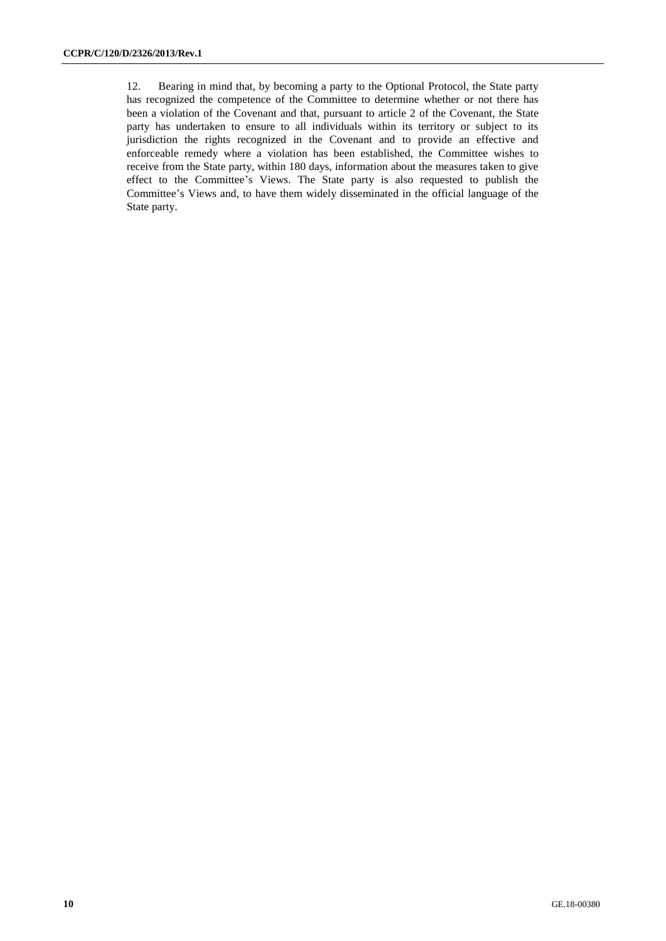12. Bearing in mind that, by becoming a party to the Optional Protocol, the State party has recognized the competence of the Committee to determine whether or not there has been a violation of the Covenant and that, pursuant to article 2 of the Covenant, the State party has undertaken to ensure to all individuals within its territory or subject to its jurisdiction the rights recognized in the Covenant and to provide an effective and enforceable remedy where a violation has been established, the Committee wishes to receive from the State party, within 180 days, information about the measures taken to give effect to the Committee's Views. The State party is also requested to publish the Committee's Views and, to have them widely disseminated in the official language of the State party.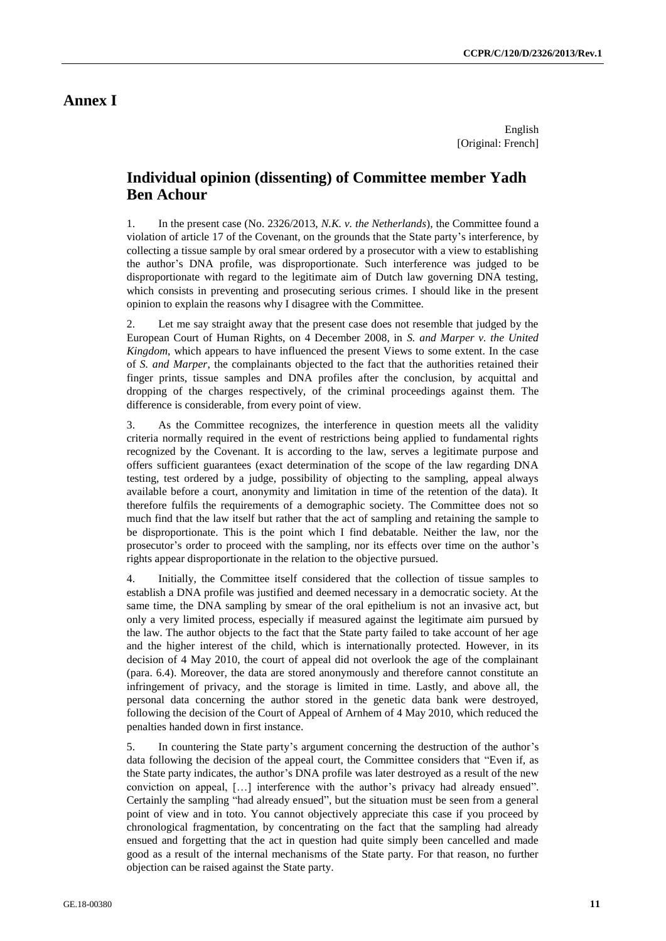English [Original: French]

## **Individual opinion (dissenting) of Committee member Yadh Ben Achour**

1. In the present case (No. 2326/2013, *N.K. v. the Netherlands*), the Committee found a violation of article 17 of the Covenant, on the grounds that the State party's interference, by collecting a tissue sample by oral smear ordered by a prosecutor with a view to establishing the author's DNA profile, was disproportionate. Such interference was judged to be disproportionate with regard to the legitimate aim of Dutch law governing DNA testing, which consists in preventing and prosecuting serious crimes. I should like in the present opinion to explain the reasons why I disagree with the Committee.

2. Let me say straight away that the present case does not resemble that judged by the European Court of Human Rights, on 4 December 2008, in *S. and Marper v. the United Kingdom*, which appears to have influenced the present Views to some extent. In the case of *S. and Marper*, the complainants objected to the fact that the authorities retained their finger prints, tissue samples and DNA profiles after the conclusion, by acquittal and dropping of the charges respectively, of the criminal proceedings against them. The difference is considerable, from every point of view.

3. As the Committee recognizes, the interference in question meets all the validity criteria normally required in the event of restrictions being applied to fundamental rights recognized by the Covenant. It is according to the law, serves a legitimate purpose and offers sufficient guarantees (exact determination of the scope of the law regarding DNA testing, test ordered by a judge, possibility of objecting to the sampling, appeal always available before a court, anonymity and limitation in time of the retention of the data). It therefore fulfils the requirements of a demographic society. The Committee does not so much find that the law itself but rather that the act of sampling and retaining the sample to be disproportionate. This is the point which I find debatable. Neither the law, nor the prosecutor's order to proceed with the sampling, nor its effects over time on the author's rights appear disproportionate in the relation to the objective pursued.

4. Initially, the Committee itself considered that the collection of tissue samples to establish a DNA profile was justified and deemed necessary in a democratic society. At the same time, the DNA sampling by smear of the oral epithelium is not an invasive act, but only a very limited process, especially if measured against the legitimate aim pursued by the law. The author objects to the fact that the State party failed to take account of her age and the higher interest of the child, which is internationally protected. However, in its decision of 4 May 2010, the court of appeal did not overlook the age of the complainant (para. 6.4). Moreover, the data are stored anonymously and therefore cannot constitute an infringement of privacy, and the storage is limited in time. Lastly, and above all, the personal data concerning the author stored in the genetic data bank were destroyed, following the decision of the Court of Appeal of Arnhem of 4 May 2010, which reduced the penalties handed down in first instance.

5. In countering the State party's argument concerning the destruction of the author's data following the decision of the appeal court, the Committee considers that "Even if, as the State party indicates, the author's DNA profile was later destroyed as a result of the new conviction on appeal, […] interference with the author's privacy had already ensued". Certainly the sampling "had already ensued", but the situation must be seen from a general point of view and in toto. You cannot objectively appreciate this case if you proceed by chronological fragmentation, by concentrating on the fact that the sampling had already ensued and forgetting that the act in question had quite simply been cancelled and made good as a result of the internal mechanisms of the State party. For that reason, no further objection can be raised against the State party.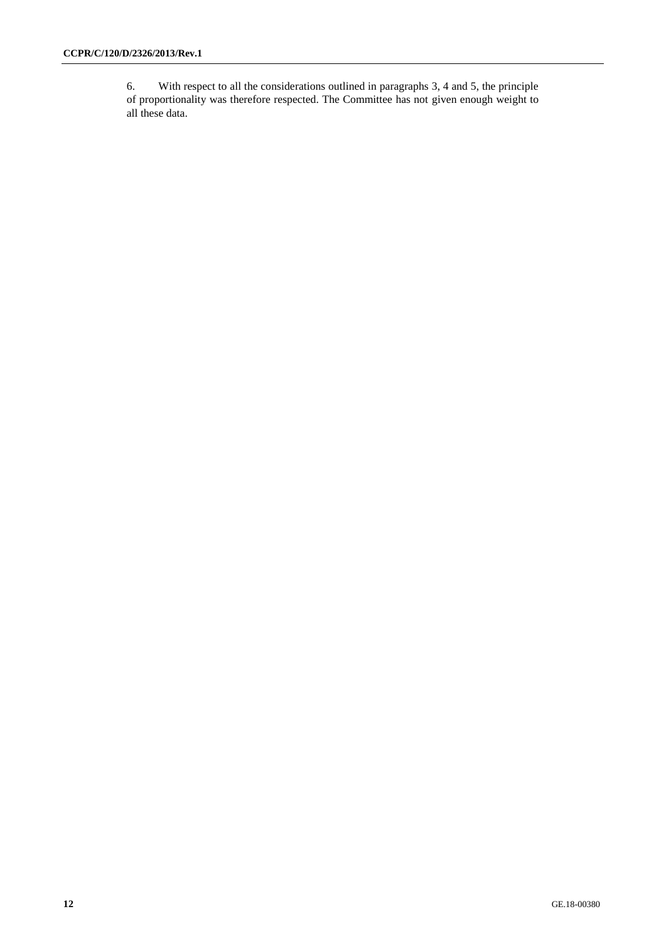6. With respect to all the considerations outlined in paragraphs 3, 4 and 5, the principle of proportionality was therefore respected. The Committee has not given enough weight to all these data.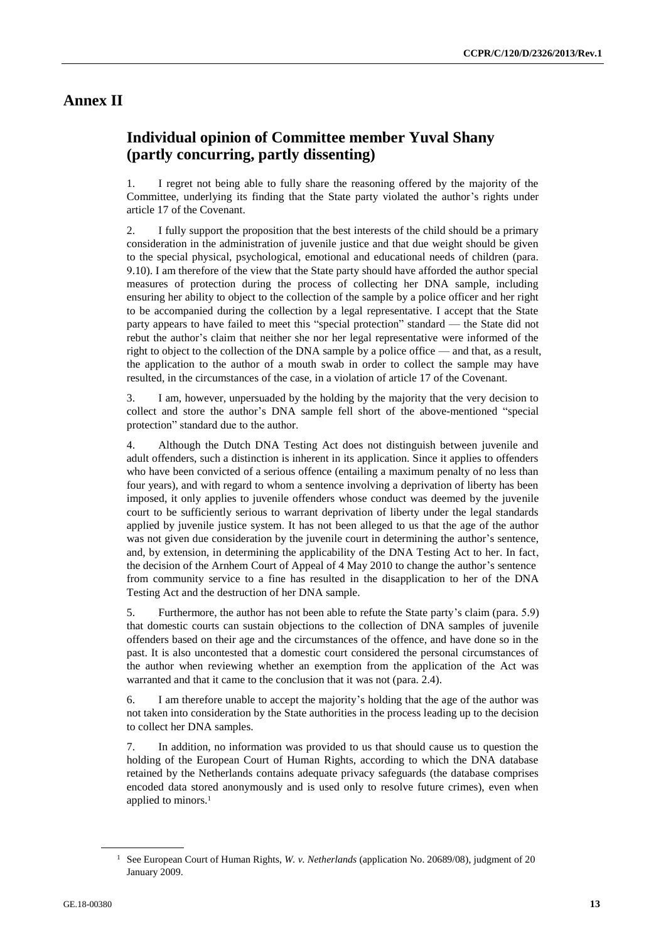## **Annex II**

## **Individual opinion of Committee member Yuval Shany (partly concurring, partly dissenting)**

1. I regret not being able to fully share the reasoning offered by the majority of the Committee, underlying its finding that the State party violated the author's rights under article 17 of the Covenant.

2. I fully support the proposition that the best interests of the child should be a primary consideration in the administration of juvenile justice and that due weight should be given to the special physical, psychological, emotional and educational needs of children (para. 9.10). I am therefore of the view that the State party should have afforded the author special measures of protection during the process of collecting her DNA sample, including ensuring her ability to object to the collection of the sample by a police officer and her right to be accompanied during the collection by a legal representative. I accept that the State party appears to have failed to meet this "special protection" standard — the State did not rebut the author's claim that neither she nor her legal representative were informed of the right to object to the collection of the DNA sample by a police office — and that, as a result, the application to the author of a mouth swab in order to collect the sample may have resulted, in the circumstances of the case, in a violation of article 17 of the Covenant.

3. I am, however, unpersuaded by the holding by the majority that the very decision to collect and store the author's DNA sample fell short of the above-mentioned "special protection" standard due to the author.

4. Although the Dutch DNA Testing Act does not distinguish between juvenile and adult offenders, such a distinction is inherent in its application. Since it applies to offenders who have been convicted of a serious offence (entailing a maximum penalty of no less than four years), and with regard to whom a sentence involving a deprivation of liberty has been imposed, it only applies to juvenile offenders whose conduct was deemed by the juvenile court to be sufficiently serious to warrant deprivation of liberty under the legal standards applied by juvenile justice system. It has not been alleged to us that the age of the author was not given due consideration by the juvenile court in determining the author's sentence, and, by extension, in determining the applicability of the DNA Testing Act to her. In fact, the decision of the Arnhem Court of Appeal of 4 May 2010 to change the author's sentence from community service to a fine has resulted in the disapplication to her of the DNA Testing Act and the destruction of her DNA sample.

5. Furthermore, the author has not been able to refute the State party's claim (para. 5.9) that domestic courts can sustain objections to the collection of DNA samples of juvenile offenders based on their age and the circumstances of the offence, and have done so in the past. It is also uncontested that a domestic court considered the personal circumstances of the author when reviewing whether an exemption from the application of the Act was warranted and that it came to the conclusion that it was not (para. 2.4).

6. I am therefore unable to accept the majority's holding that the age of the author was not taken into consideration by the State authorities in the process leading up to the decision to collect her DNA samples.

7. In addition, no information was provided to us that should cause us to question the holding of the European Court of Human Rights, according to which the DNA database retained by the Netherlands contains adequate privacy safeguards (the database comprises encoded data stored anonymously and is used only to resolve future crimes), even when applied to minors.<sup>1</sup>

<sup>1</sup> See European Court of Human Rights, *W. v. Netherlands* (application No. 20689/08), judgment of 20 January 2009.